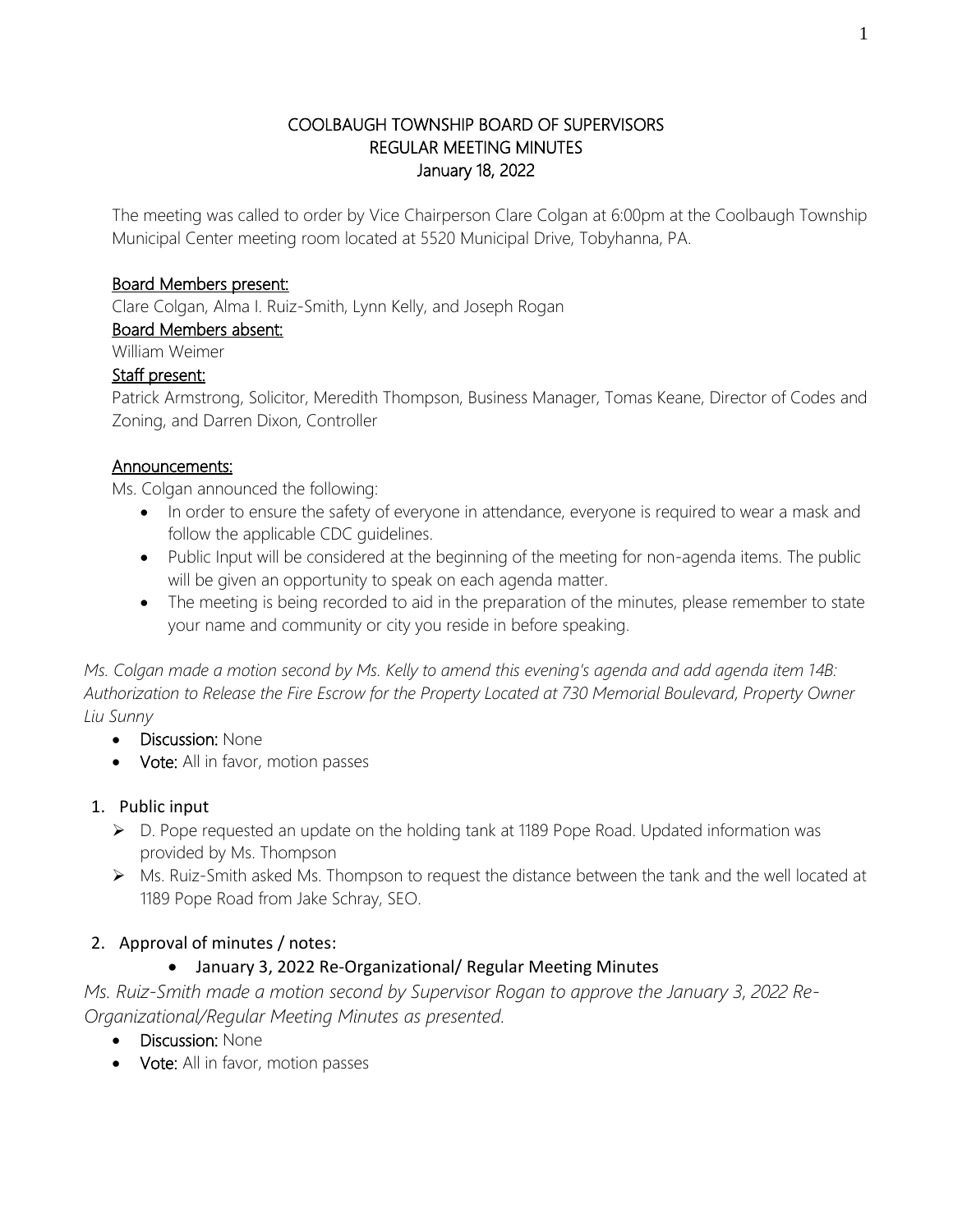#### COOLBAUGH TOWNSHIP BOARD OF SUPERVISORS REGULAR MEETING MINUTES January 18, 2022

The meeting was called to order by Vice Chairperson Clare Colgan at 6:00pm at the Coolbaugh Township Municipal Center meeting room located at 5520 Municipal Drive, Tobyhanna, PA.

### Board Members present:

Clare Colgan, Alma I. Ruiz-Smith, Lynn Kelly, and Joseph Rogan

# Board Members absent:

William Weimer

# Staff present:

Patrick Armstrong, Solicitor, Meredith Thompson, Business Manager, Tomas Keane, Director of Codes and Zoning, and Darren Dixon, Controller

# Announcements:

Ms. Colgan announced the following:

- In order to ensure the safety of everyone in attendance, everyone is required to wear a mask and follow the applicable CDC guidelines.
- Public Input will be considered at the beginning of the meeting for non-agenda items. The public will be given an opportunity to speak on each agenda matter.
- The meeting is being recorded to aid in the preparation of the minutes, please remember to state your name and community or city you reside in before speaking.

*Ms. Colgan made a motion second by Ms. Kelly to amend this evening's agenda and add agenda item 14B: Authorization to Release the Fire Escrow for the Property Located at 730 Memorial Boulevard, Property Owner Liu Sunny*

- **Discussion: None**
- Vote: All in favor, motion passes

# 1. Public input

- ➢ D. Pope requested an update on the holding tank at 1189 Pope Road. Updated information was provided by Ms. Thompson
- ➢ Ms. Ruiz-Smith asked Ms. Thompson to request the distance between the tank and the well located at 1189 Pope Road from Jake Schray, SEO.

# 2. Approval of minutes / notes:

# • January 3, 2022 Re-Organizational/ Regular Meeting Minutes

*Ms. Ruiz-Smith made a motion second by Supervisor Rogan to approve the January 3, 2022 Re-Organizational/Regular Meeting Minutes as presented.*

- Discussion: None
- Vote: All in favor, motion passes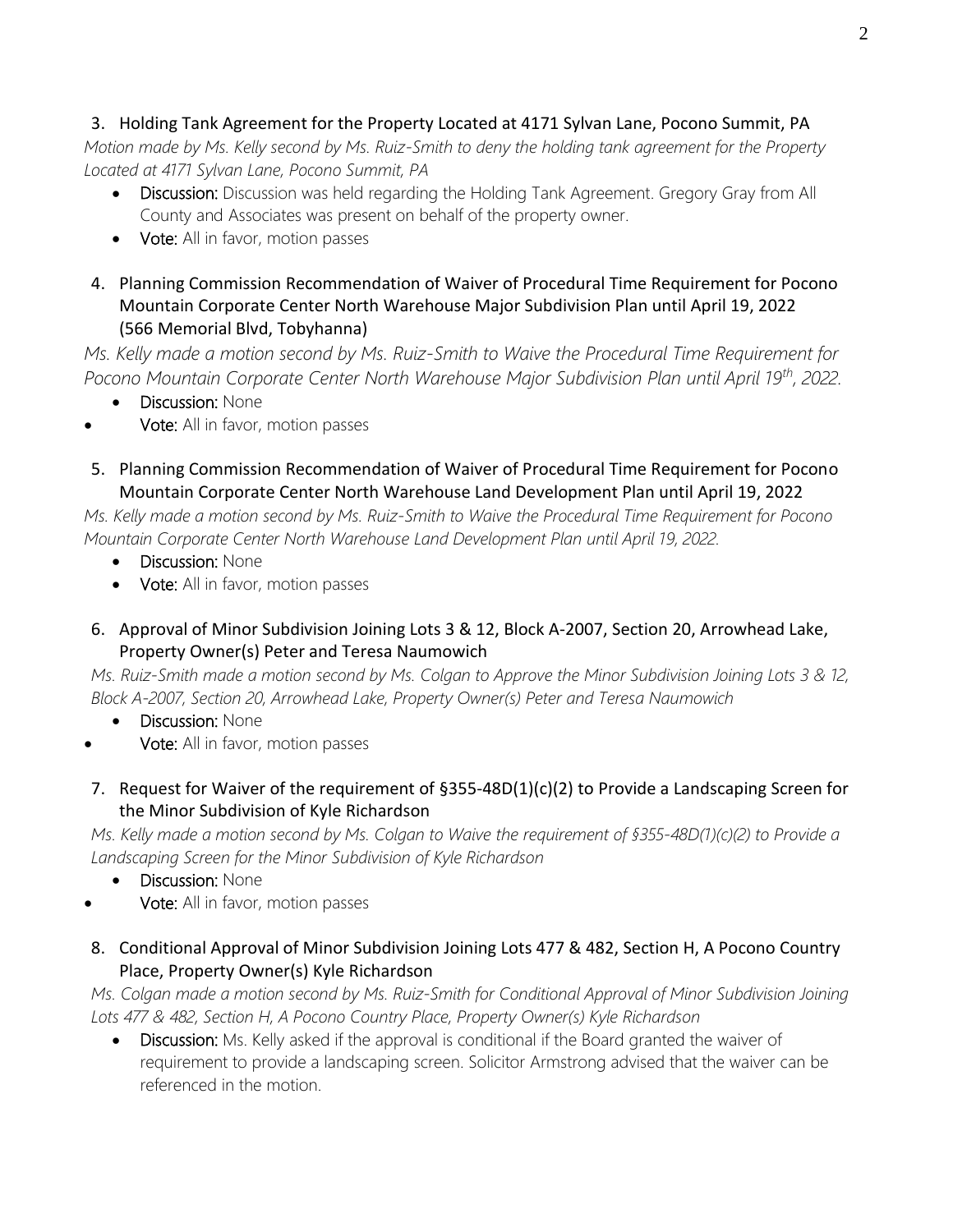#### 3. Holding Tank Agreement for the Property Located at 4171 Sylvan Lane, Pocono Summit, PA

*Motion made by Ms. Kelly second by Ms. Ruiz-Smith to deny the holding tank agreement for the Property Located at 4171 Sylvan Lane, Pocono Summit, PA*

- Discussion: Discussion was held regarding the Holding Tank Agreement. Gregory Gray from All County and Associates was present on behalf of the property owner.
- Vote: All in favor, motion passes
- 4. Planning Commission Recommendation of Waiver of Procedural Time Requirement for Pocono Mountain Corporate Center North Warehouse Major Subdivision Plan until April 19, 2022 (566 Memorial Blvd, Tobyhanna)

*Ms. Kelly made a motion second by Ms. Ruiz-Smith to Waive the Procedural Time Requirement for Pocono Mountain Corporate Center North Warehouse Major Subdivision Plan until April 19th, 2022.*

• Discussion: None

- Vote: All in favor, motion passes
- 5. Planning Commission Recommendation of Waiver of Procedural Time Requirement for Pocono Mountain Corporate Center North Warehouse Land Development Plan until April 19, 2022

*Ms. Kelly made a motion second by Ms. Ruiz-Smith to Waive the Procedural Time Requirement for Pocono Mountain Corporate Center North Warehouse Land Development Plan until April 19, 2022.*

- **Discussion: None**
- Vote: All in favor, motion passes
- 6. Approval of Minor Subdivision Joining Lots 3 & 12, Block A-2007, Section 20, Arrowhead Lake, Property Owner(s) Peter and Teresa Naumowich

*Ms. Ruiz-Smith made a motion second by Ms. Colgan to Approve the Minor Subdivision Joining Lots 3 & 12, Block A-2007, Section 20, Arrowhead Lake, Property Owner(s) Peter and Teresa Naumowich*

- **Discussion: None**
- Vote: All in favor, motion passes
- 7. Request for Waiver of the requirement of §355-48D(1)(c)(2) to Provide a Landscaping Screen for the Minor Subdivision of Kyle Richardson

*Ms. Kelly made a motion second by Ms. Colgan to Waive the requirement of §355-48D(1)(c)(2) to Provide a Landscaping Screen for the Minor Subdivision of Kyle Richardson*

- **Discussion: None**
- Vote: All in favor, motion passes
- 8. Conditional Approval of Minor Subdivision Joining Lots 477 & 482, Section H, A Pocono Country Place, Property Owner(s) Kyle Richardson

*Ms. Colgan made a motion second by Ms. Ruiz-Smith for Conditional Approval of Minor Subdivision Joining Lots 477 & 482, Section H, A Pocono Country Place, Property Owner(s) Kyle Richardson*

• Discussion: Ms. Kelly asked if the approval is conditional if the Board granted the waiver of requirement to provide a landscaping screen. Solicitor Armstrong advised that the waiver can be referenced in the motion.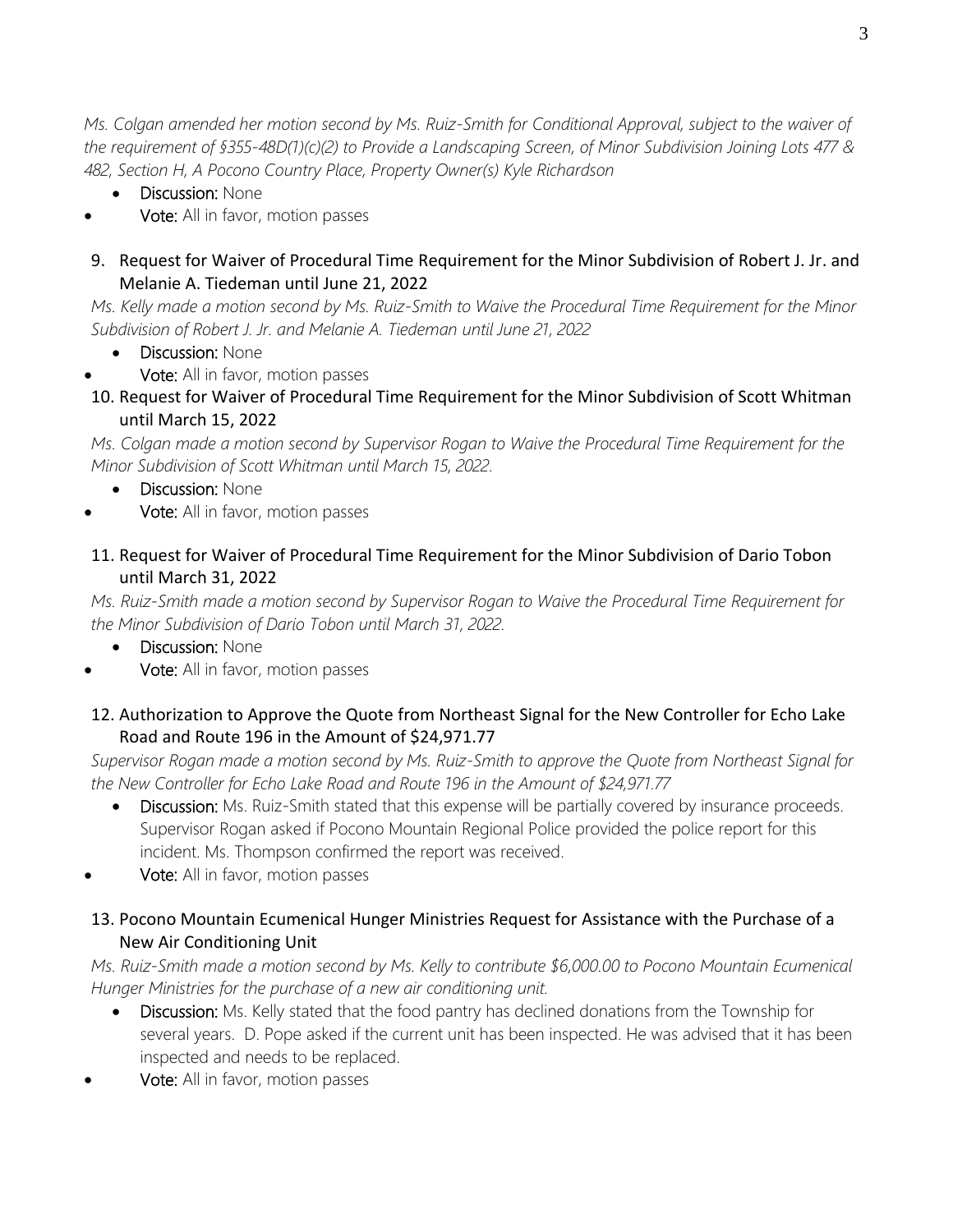*Ms. Colgan amended her motion second by Ms. Ruiz-Smith for Conditional Approval, subject to the waiver of the requirement of §355-48D(1)(c)(2) to Provide a Landscaping Screen, of Minor Subdivision Joining Lots 477 & 482, Section H, A Pocono Country Place, Property Owner(s) Kyle Richardson*

- Discussion: None
- Vote: All in favor, motion passes
- 9. Request for Waiver of Procedural Time Requirement for the Minor Subdivision of Robert J. Jr. and Melanie A. Tiedeman until June 21, 2022

*Ms. Kelly made a motion second by Ms. Ruiz-Smith to Waive the Procedural Time Requirement for the Minor Subdivision of Robert J. Jr. and Melanie A. Tiedeman until June 21, 2022*

- Discussion: None
- Vote: All in favor, motion passes
- 10. Request for Waiver of Procedural Time Requirement for the Minor Subdivision of Scott Whitman until March 15, 2022

*Ms. Colgan made a motion second by Supervisor Rogan to Waive the Procedural Time Requirement for the Minor Subdivision of Scott Whitman until March 15, 2022.*

- **Discussion: None**
- Vote: All in favor, motion passes

# 11. Request for Waiver of Procedural Time Requirement for the Minor Subdivision of Dario Tobon until March 31, 2022

*Ms. Ruiz-Smith made a motion second by Supervisor Rogan to Waive the Procedural Time Requirement for the Minor Subdivision of Dario Tobon until March 31, 2022.*

- **Discussion: None**
- Vote: All in favor, motion passes
- 12. Authorization to Approve the Quote from Northeast Signal for the New Controller for Echo Lake Road and Route 196 in the Amount of \$24,971.77

*Supervisor Rogan made a motion second by Ms. Ruiz-Smith to approve the Quote from Northeast Signal for the New Controller for Echo Lake Road and Route 196 in the Amount of \$24,971.77*

- Discussion: Ms. Ruiz-Smith stated that this expense will be partially covered by insurance proceeds. Supervisor Rogan asked if Pocono Mountain Regional Police provided the police report for this incident. Ms. Thompson confirmed the report was received.
- Vote: All in favor, motion passes

# 13. Pocono Mountain Ecumenical Hunger Ministries Request for Assistance with the Purchase of a New Air Conditioning Unit

*Ms. Ruiz-Smith made a motion second by Ms. Kelly to contribute \$6,000.00 to Pocono Mountain Ecumenical Hunger Ministries for the purchase of a new air conditioning unit.*

- Discussion: Ms. Kelly stated that the food pantry has declined donations from the Township for several years. D. Pope asked if the current unit has been inspected. He was advised that it has been inspected and needs to be replaced.
- Vote: All in favor, motion passes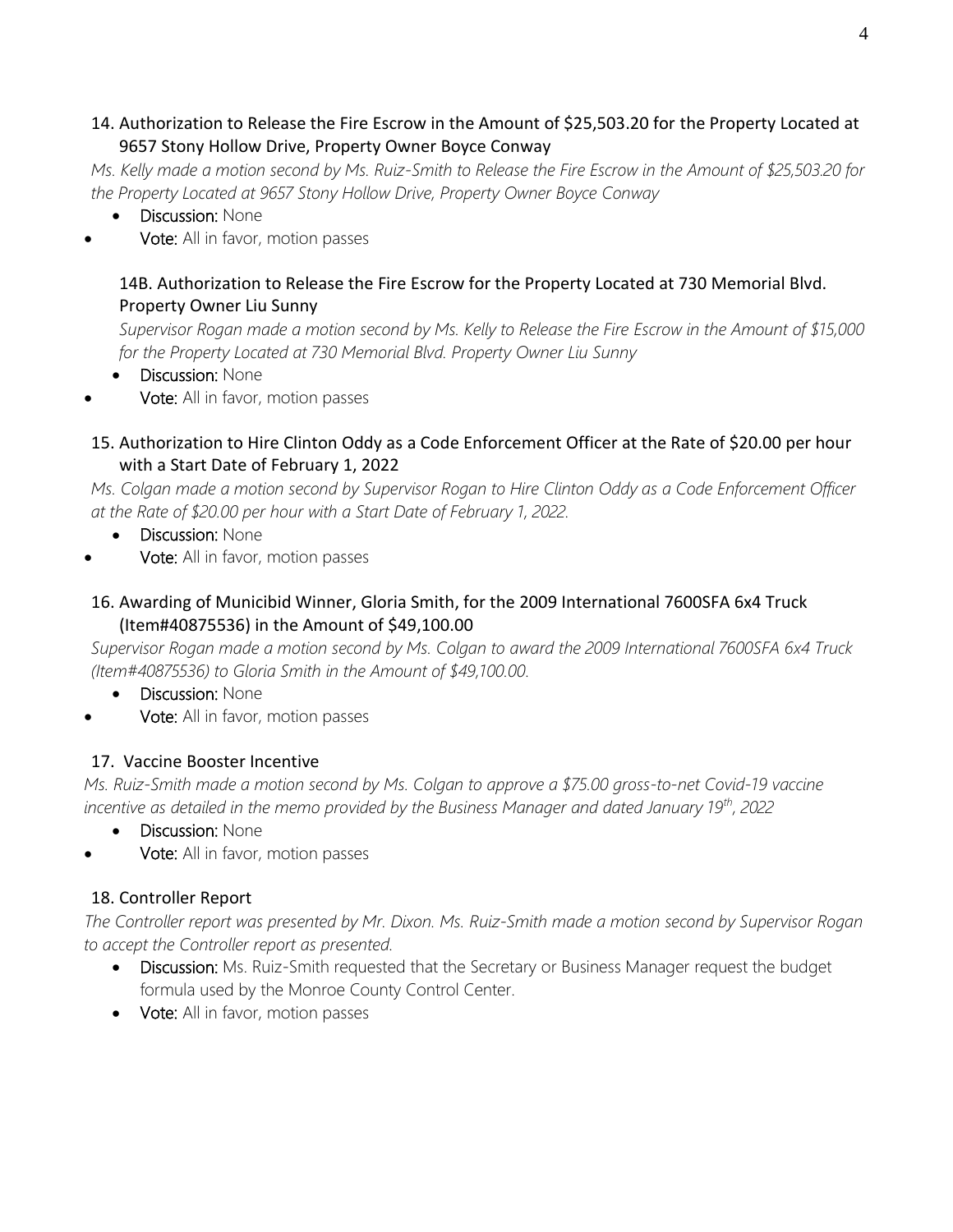### 14. Authorization to Release the Fire Escrow in the Amount of \$25,503.20 for the Property Located at 9657 Stony Hollow Drive, Property Owner Boyce Conway

*Ms. Kelly made a motion second by Ms. Ruiz-Smith to Release the Fire Escrow in the Amount of \$25,503.20 for the Property Located at 9657 Stony Hollow Drive, Property Owner Boyce Conway*

- **Discussion: None**
- Vote: All in favor, motion passes

### 14B. Authorization to Release the Fire Escrow for the Property Located at 730 Memorial Blvd. Property Owner Liu Sunny

*Supervisor Rogan made a motion second by Ms. Kelly to Release the Fire Escrow in the Amount of \$15,000 for the Property Located at 730 Memorial Blvd. Property Owner Liu Sunny*

- **Discussion: None**
- Vote: All in favor, motion passes

### 15. Authorization to Hire Clinton Oddy as a Code Enforcement Officer at the Rate of \$20.00 per hour with a Start Date of February 1, 2022

*Ms. Colgan made a motion second by Supervisor Rogan to Hire Clinton Oddy as a Code Enforcement Officer at the Rate of \$20.00 per hour with a Start Date of February 1, 2022.*

- **Discussion: None**
- Vote: All in favor, motion passes

## 16. Awarding of Municibid Winner, Gloria Smith, for the 2009 International 7600SFA 6x4 Truck (Item#40875536) in the Amount of \$49,100.00

*Supervisor Rogan made a motion second by Ms. Colgan to award the 2009 International 7600SFA 6x4 Truck (Item#40875536) to Gloria Smith in the Amount of \$49,100.00.*

- **Discussion: None**
- Vote: All in favor, motion passes

# 17. Vaccine Booster Incentive

*Ms. Ruiz-Smith made a motion second by Ms. Colgan to approve a \$75.00 gross-to-net Covid-19 vaccine incentive as detailed in the memo provided by the Business Manager and dated January 19th, 2022*

- **Discussion: None**
- Vote: All in favor, motion passes

# 18. Controller Report

*The Controller report was presented by Mr. Dixon. Ms. Ruiz-Smith made a motion second by Supervisor Rogan to accept the Controller report as presented.*

- Discussion: Ms. Ruiz-Smith requested that the Secretary or Business Manager request the budget formula used by the Monroe County Control Center.
- Vote: All in favor, motion passes